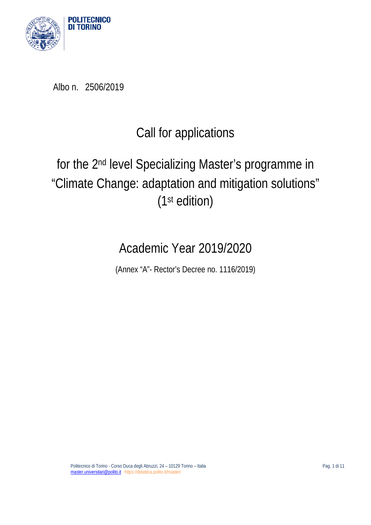

Albo n. 2506/2019

# Call for applications

# for the 2nd level Specializing Master's programme in "Climate Change: adaptation and mitigation solutions" (1st edition)

# Academic Year 2019/2020

(Annex "A"- Rector's Decree no. 1116/2019)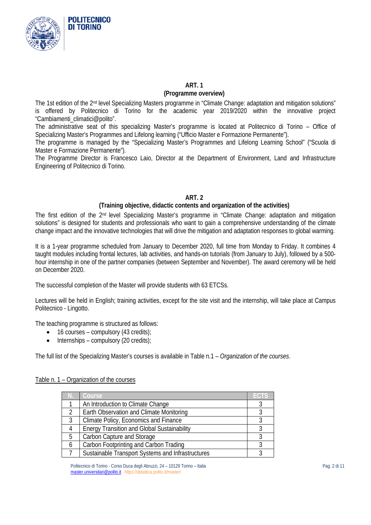

### **ART. 1**

#### **(Programme overview)**

The 1st edition of the 2nd level Specializing Masters programme in "Climate Change: adaptation and mitigation solutions" is offered by Politecnico di Torino for the academic year 2019/2020 within the innovative project "Cambiamenti\_climatici@polito".

The administrative seat of this specializing Master's programme is located at Politecnico di Torino – Office of Specializing Master's Programmes and Lifelong learning ("Ufficio Master e Formazione Permanente").

The programme is managed by the "Specializing Master's Programmes and Lifelong Learning School" ("Scuola di Master e Formazione Permanente").

The Programme Director is Francesco Laio, Director at the Department of Environment, Land and Infrastructure Engineering of Politecnico di Torino.

## **ART. 2**

### **(Training objective, didactic contents and organization of the activities)**

The first edition of the 2nd level Specializing Master's programme in "Climate Change: adaptation and mitigation solutions" is designed for students and professionals who want to gain a comprehensive understanding of the climate change impact and the innovative technologies that will drive the mitigation and adaptation responses to global warming.

It is a 1-year programme scheduled from January to December 2020, full time from Monday to Friday. It combines 4 taught modules including frontal lectures, lab activities, and hands-on tutorials (from January to July), followed by a 500 hour internship in one of the partner companies (between September and November). The award ceremony will be held on December 2020.

The successful completion of the Master will provide students with 63 ETCSs.

Lectures will be held in English; training activities, except for the site visit and the internship, will take place at Campus Politecnico - Lingotto.

The teaching programme is structured as follows:

- $\bullet$  16 courses compulsory (43 credits);
- Internships compulsory (20 credits):

The full list of the Specializing Master's courses is available in Table n.1 – *Organization of the courses*.

#### Table n. 1 – Organization of the courses

|   | Course                                             | <b>ECTS</b> |
|---|----------------------------------------------------|-------------|
|   | An Introduction to Climate Change                  |             |
|   | Earth Observation and Climate Monitoring           |             |
| 3 | Climate Policy, Economics and Finance              |             |
|   | <b>Energy Transition and Global Sustainability</b> |             |
| 5 | Carbon Capture and Storage                         |             |
| 6 | Carbon Footprinting and Carbon Trading             |             |
|   | Sustainable Transport Systems and Infrastructures  |             |

Politecnico di Torino - Corso Duca degli Abruzzi, 24 – 10129 Torino – Italia Pag. 2 di 11 [master.universitari@polito.it](mailto:master.universitari@polito.it) https://didattica.polito.it/master/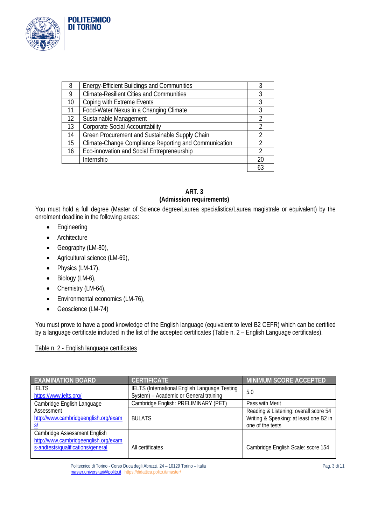

**POLITECNICO DI TORINO** 

| 8  | <b>Energy-Efficient Buildings and Communities</b>     |                |
|----|-------------------------------------------------------|----------------|
| Q  | <b>Climate-Resilient Cities and Communities</b>       | 3              |
| 10 | Coping with Extreme Events                            | 3              |
| 11 | Food-Water Nexus in a Changing Climate                | 3              |
| 12 | Sustainable Management                                | $\mathfrak{D}$ |
| 13 | <b>Corporate Social Accountability</b>                |                |
| 14 | Green Procurement and Sustainable Supply Chain        |                |
| 15 | Climate-Change Compliance Reporting and Communication | $\mathfrak{D}$ |
| 16 | Eco-innovation and Social Entrepreneurship            | 2              |
|    | Internship                                            | 20             |
|    |                                                       | 63             |

# **ART. 3 (Admission requirements)**

You must hold a full degree (Master of Science degree/Laurea specialistica/Laurea magistrale or equivalent) by the enrolment deadline in the following areas:

- Engineering
- Architecture
- Geography (LM-80),
- Agricultural science (LM-69),
- Physics (LM-17),
- Biology (LM-6),
- Chemistry (LM-64),
- Environmental economics (LM-76),
- Geoscience (LM-74)

You must prove to have a good knowledge of the English language (equivalent to level B2 CEFR) which can be certified by a language certificate included in the list of the accepted certificates (Table n. 2 – English Language certificates).

# Table n. 2 - English language certificates

| <b>EXAMINATION BOARD</b>                                                                                  | <b>CERTIFICATE</b>                                                                      | <b>MINIMUM SCORE ACCEPTED</b>                                                                       |
|-----------------------------------------------------------------------------------------------------------|-----------------------------------------------------------------------------------------|-----------------------------------------------------------------------------------------------------|
| <b>IFITS</b><br>https://www.ielts.org/                                                                    | IELTS (International English Language Testing<br>System) - Academic or General training | 5.0                                                                                                 |
| Cambridge English Language                                                                                | Cambridge English: PRELIMINARY (PET)                                                    | Pass with Merit                                                                                     |
| Assessment<br>http://www.cambridgeenglish.org/exam                                                        | <b>BULATS</b>                                                                           | Reading & Listening: overall score 54<br>Writing & Speaking: at least one B2 in<br>one of the tests |
| Cambridge Assessment English<br>http://www.cambridgeenglish.org/exam<br>s-andtests/qualifications/general | All certificates                                                                        | Cambridge English Scale: score 154                                                                  |

Politecnico di Torino - Corso Duca degli Abruzzi, 24 – 10129 Torino – Italia Pag. 3 di 11 [master.universitari@polito.it](mailto:master.universitari@polito.it) https://didattica.polito.it/master/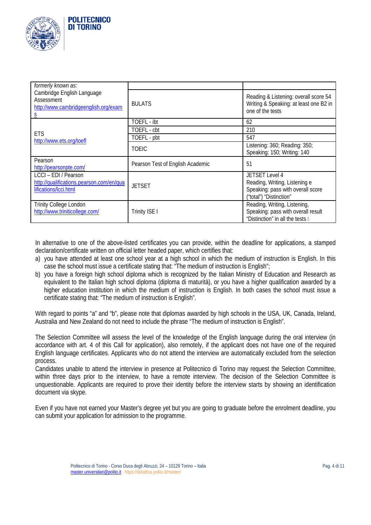

| formerly known as:                                                                        |                                  |                                                                                                                        |
|-------------------------------------------------------------------------------------------|----------------------------------|------------------------------------------------------------------------------------------------------------------------|
| Cambridge English Language<br>Assessment<br>http://www.cambridgeenglish.org/exam          | <b>BULATS</b>                    | Reading & Listening: overall score 54<br>Writing & Speaking: at least one B2 in<br>one of the tests                    |
|                                                                                           | TOEFL - ibt                      | 62                                                                                                                     |
| <b>ETS</b>                                                                                | TOEFL - cbt                      | 210                                                                                                                    |
| http://www.ets.org/toefl                                                                  | TOEFL - pbt                      | 547                                                                                                                    |
|                                                                                           | <b>TOEIC</b>                     | Listening: 360; Reading: 350;<br>Speaking: 150; Writing: 140                                                           |
| Pearson<br>http://pearsonpte.com/                                                         | Pearson Test of English Academic | 51                                                                                                                     |
| LCCI - EDI / Pearson<br>http://qualifications.pearson.com/en/qua<br>lifications/lcci.html | <b>JETSET</b>                    | <b>JETSET Level 4</b><br>Reading, Writing, Listening e<br>Speaking: pass with overall score<br>("total") "Distinction" |
| <b>Trinity College London</b><br>http://www.triniticollege.com/                           | Trinity ISE I                    | Reading, Writing, Listening,<br>Speaking: pass with overall result<br>"Distinction" in all the tests II                |

In alternative to one of the above-listed certificates you can provide, within the deadline for applications, a stamped declaration/certificate written on official letter headed paper, which certifies that:

- a) you have attended at least one school year at a high school in which the medium of instruction is English. In this case the school must issue a certificate stating that: "The medium of instruction is English";
- b) you have a foreign high school diploma which is recognized by the Italian Ministry of Education and Research as equivalent to the Italian high school diploma (diploma di maturità), or you have a higher qualification awarded by a higher education institution in which the medium of instruction is English. In both cases the school must issue a certificate stating that: "The medium of instruction is English".

With regard to points "a" and "b", please note that diplomas awarded by high schools in the USA, UK, Canada, Ireland, Australia and New Zealand do not need to include the phrase "The medium of instruction is English".

The Selection Committee will assess the level of the knowledge of the English language during the oral interview (in accordance with art. 4 of this Call for application), also remotely, if the applicant does not have one of the required English language certificates. Applicants who do not attend the interview are automatically excluded from the selection process.

Candidates unable to attend the interview in presence at Politecnico di Torino may request the Selection Committee, within three days prior to the interview, to have a remote interview. The decision of the Selection Committee is unquestionable. Applicants are required to prove their identity before the interview starts by showing an identification document via skype.

Even if you have not earned your Master's degree yet but you are going to graduate before the enrolment deadline, you can submit your application for admission to the programme.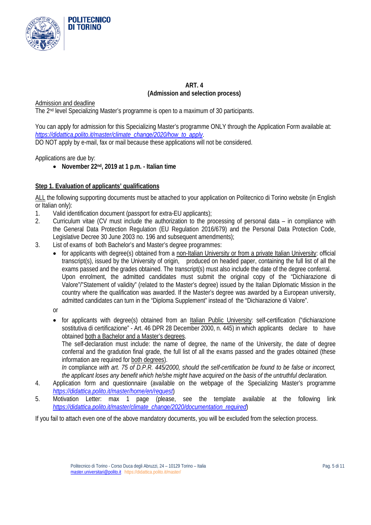

# **ART. 4 (Admission and selection process)**

Admission and deadline

The 2nd level Specializing Master's programme is open to a maximum of 30 participants.

You can apply for admission for this Specializing Master's programme ONLY through the Application Form available at: *[https://didattica.polito.it/master/climate\\_change/2020/how\\_to\\_apply](https://didattica.polito.it/master/climate_change/2020/how_to_apply)*. DO NOT apply by e-mail, fax or mail because these applications will not be considered.

Applications are due by:

• **November 22nd, 2019 at 1 p.m. - Italian time**

#### **Step 1. Evaluation of applicants' qualifications**

ALL the following supporting documents must be attached to your application on Politecnico di Torino website (in English or Italian only):

- 
- 1. Valid identification document (passport for extra-EU applicants);<br>2. Curriculum vitae (CV must include the authorization to the pro-2. Curriculum vitae (CV must include the authorization to the processing of personal data – in compliance with the General Data Protection Regulation (EU Regulation 2016/679) and the Personal Data Protection Code, Legislative Decree 30 June 2003 no. 196 and subsequent amendments);
- 3. List of exams of both Bachelor's and Master's degree programmes:
	- for applicants with degree(s) obtained from a non-Italian University or from a private Italian University: official transcript(s), issued by the University of origin, produced on headed paper, containing the full list of all the exams passed and the grades obtained. The transcript(s) must also include the date of the degree conferral. Upon enrolment, the admitted candidates must submit the original copy of the "Dichiarazione di Valore"/"Statement of validity" (related to the Master's degree) issued by the Italian Diplomatic Mission in the country where the qualification was awarded. If the Master's degree was awarded by a European university, admitted candidates can turn in the "Diploma Supplement" instead of the "Dichiarazione di Valore".

or

• for applicants with degree(s) obtained from an Italian Public University: self-certification ("dichiarazione sostitutiva di certificazione" - Art. 46 DPR 28 December 2000, n. 445) in which applicants declare to have obtained both a Bachelor and a Master's degrees.

The self-declaration must include: the name of degree, the name of the University, the date of degree conferral and the gradution final grade, the full list of all the exams passed and the grades obtained (these information are required for both degrees).

*In* compliance *with art. 75 of D.P.R. 445/2000, should the self-certification be found to be false or incorrect, the applicant loses any benefit which he/she might have acquired on the basis of the untruthful declaration.*

- 4. Application form and questionnaire (available on the webpage of the Specializing Master's programme *<https://didattica.polito.it/master/home/en/request>*)
- 5. Motivation Letter: max 1 page (please, see the template available at the following link *[https://didattica.polito.it/master/climate\\_change/2020/documentation\\_required](https://didattica.polito.it/master/climate_change/2020/documentation_required)*)

If you fail to attach even one of the above mandatory documents, you will be excluded from the selection process.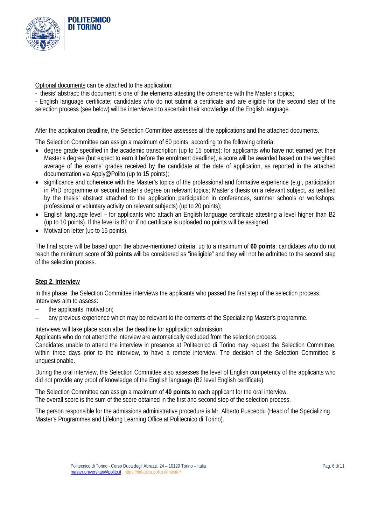

Optional documents can be attached to the application:

- thesis' abstract: this document is one of the elements attesting the coherence with the Master's topics;
- English language certificate; candidates who do not submit a certificate and are eligible for the second step of the
- selection process (see below) will be interviewed to ascertain their knowledge of the English language.

After the application deadline, the Selection Committee assesses all the applications and the attached documents.

The Selection Committee can assign a maximum of 60 points, according to the following criteria:

- degree grade specified in the academic transcription (up to 15 points): for applicants who have not earned yet their Master's degree (but expect to earn it before the enrolment deadline), a score will be awarded based on the weighted average of the exams' grades received by the candidate at the date of application, as reported in the attached documentation via Apply@Polito (up to 15 points);
- significance and coherence with the Master's topics of the professional and formative experience (e.g., participation in PhD programme or second master's degree on relevant topics; Master's thesis on a relevant subject, as testified by the thesis' abstract attached to the application; participation in conferences, summer schools or workshops; professional or voluntary activity on relevant subjects) (up to 20 points);
- English language level for applicants who attach an English language certificate attesting a level higher than B2 (up to 10 points). If the level is B2 or if no certificate is uploaded no points will be assigned.
- Motivation letter (up to 15 points).

The final score will be based upon the above-mentioned criteria, up to a maximum of **60 points**; candidates who do not reach the minimum score of **30 points** will be considered as "ineligible" and they will not be admitted to the second step of the selection process.

### **Step 2. Interview**

In this phase, the Selection Committee interviews the applicants who passed the first step of the selection process. Interviews aim to assess:

- − the applicants' motivation;
- − any previous experience which may be relevant to the contents of the Specializing Master's programme.

Interviews will take place soon after the deadline for application submission.

Applicants who do not attend the interview are automatically excluded from the selection process.

Candidates unable to attend the interview in presence at Politecnico di Torino may request the Selection Committee, within three days prior to the interview, to have a remote interview. The decision of the Selection Committee is unquestionable.

During the oral interview, the Selection Committee also assesses the level of English competency of the applicants who did not provide any proof of knowledge of the English language (B2 level English certificate).

The Selection Committee can assign a maximum of **40 points** to each applicant for the oral interview. The overall score is the sum of the score obtained in the first and second step of the selection process.

The person responsible for the admissions administrative procedure is Mr. Alberto Pusceddu (Head of the Specializing Master's Programmes and Lifelong Learning Office at Politecnico di Torino).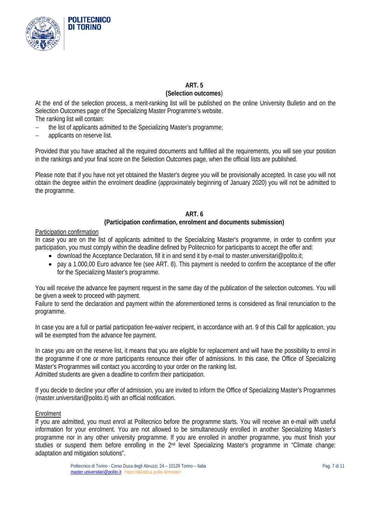

# **ART. 5**

#### **(Selection outcomes**)

At the end of the selection process, a merit-ranking list will be published on the online University Bulletin and on the Selection Outcomes page of the Specializing Master Programme's website. The ranking list will contain:

- − the list of applicants admitted to the Specializing Master's programme;
- − applicants on reserve list.

Provided that you have attached all the required documents and fulfilled all the requirements, you will see your position in the rankings and your final score on the Selection Outcomes page, when the official lists are published.

Please note that if you have not yet obtained the Master's degree you will be provisionally accepted. In case you will not obtain the degree within the enrolment deadline (approximately beginning of January 2020) you will not be admitted to the programme.

## **ART. 6**

### **(Participation confirmation, enrolment and documents submission)**

### Participation confirmation

In case you are on the list of applicants admitted to the Specializing Master's programme, in order to confirm your participation, you must comply within the deadline defined by Politecnico for participants to accept the offer and:

- download the Acceptance Declaration, fill it in and send it by e-mail to master.universitari@polito.it;
- pay a 1.000,00 Euro advance fee (see ART. 8). This payment is needed to confirm the acceptance of the offer for the Specializing Master's programme.

You will receive the advance fee payment request in the same day of the publication of the selection outcomes. You will be given a week to proceed with payment.

Failure to send the declaration and payment within the aforementioned terms is considered as final renunciation to the programme.

In case you are a full or partial participation fee-waiver recipient, in accordance with art. 9 of this Call for application, you will be exempted from the advance fee payment.

In case you are on the reserve list, it means that you are eligible for replacement and will have the possibility to enrol in the programme if one or more participants renounce their offer of admissions. In this case, the Office of Specializing Master's Programmes will contact you according to your order on the ranking list. Admitted students are given a deadline to confirm their participation.

If you decide to decline your offer of admission, you are invited to inform the Office of Specializing Master's Programmes (master.universitari@polito.it) with an official notification.

### Enrolment

If you are admitted, you must enrol at Politecnico before the programme starts. You will receive an e-mail with useful information for your enrolment. You are not allowed to be simultaneously enrolled in another Specializing Master's programme nor in any other university programme. If you are enrolled in another programme, you must finish your studies or suspend them before enrolling in the 2<sup>nd</sup> level Specializing Master's programme in "Climate change: adaptation and mitigation solutions".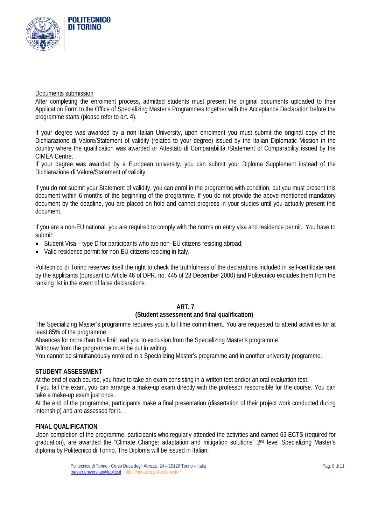

#### Documents submission

After completing the enrolment process, admitted students must present the original documents uploaded to their Application Form to the Office of Specializing Master's Programmes together with the Acceptance Declaration before the programme starts (please refer to art. 4).

If your degree was awarded by a non-Italian University, upon enrolment you must submit the original copy of the Dichiarazione di Valore/Statement of validity (related to your degree) issued by the Italian Diplomatic Mission in the country where the qualification was awarded or Attestato di Comparabilità /Statement of Comparability issued by the CIMEA Centre.

If your degree was awarded by a European university, you can submit your Diploma Supplement instead of the Dichiarazione di Valore/Statement of validity.

If you do not submit your Statement of validity, you can enrol in the programme with condition, but you must present this document within 6 months of the beginning of the programme. If you do not provide the above-mentioned mandatory document by the deadline, you are placed on hold and cannot progress in your studies until you actually present this document.

If you are a non-EU national, you are required to comply with the norms on entry visa and residence permit. You have to submit:

- Student Visa type D for participants who are non–EU citizens residing abroad;
- Valid residence permit for non-EU citizens residing in Italy.

Politecnico di Torino reserves itself the right to check the truthfulness of the declarations included in self-certificate sent by the applicants (pursuant to Article 46 of DPR. no. 445 of 28 December 2000) and Politecnico excludes them from the ranking list in the event of false declarations.

### **ART. 7**

#### **(Student assessment and final qualification)**

The Specializing Master's programme requires you a full time commitment. You are requested to attend activities for at least 85% of the programme.

Absences for more than this limit lead you to exclusion from the Specializing Master's programme.

Withdraw from the programme must be put in writing.

You cannot be simultaneously enrolled in a Specializing Master's programme and in another university programme.

#### **STUDENT ASSESSMENT**

At the end of each course, you have to take an exam consisting in a written test and/or an oral evaluation test.

If you fail the exam, you can arrange a make-up exam directly with the professor responsible for the course. You can take a make-up exam just once.

At the end of the programme, participants make a final presentation (dissertation of their project work conducted during internship) and are assessed for it.

#### **FINAL QUALIFICATION**

Upon completion of the programme, participants who regularly attended the activities and earned 63 ECTS (required for graduation), are awarded the "Climate Change: adaptation and mitigation solutions" 2nd level Specializing Master's diploma by Politecnico di Torino. The Diploma will be issued in Italian.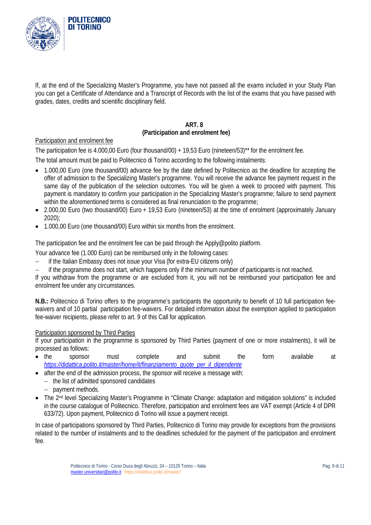

If, at the end of the Specializing Master's Programme, you have not passed all the exams included in your Study Plan you can get a Certificate of Attendance and a Transcript of Records with the list of the exams that you have passed with grades, dates, credits and scientific disciplinary field.

#### **ART. 8 (Participation and enrolment fee)**

### Participation and enrolment fee

The participation fee is 4.000,00 Euro (four thousand/00) + 19,53 Euro (nineteen/53)<sup>\*\*</sup> for the enrolment fee.

The total amount must be paid to Politecnico di Torino according to the following instalments:

- 1.000,00 Euro (one thousand/00) advance fee by the date defined by Politecnico as the deadline for accepting the offer of admission to the Specializing Master's programme. You will receive the advance fee payment request in the same day of the publication of the selection outcomes. You will be given a week to proceed with payment. This payment is mandatory to confirm your participation in the Specializing Master's programme; failure to send payment within the aforementioned terms is considered as final renunciation to the programme;
- 2.000,00 Euro (two thousand/00) Euro + 19,53 Euro (nineteen/53) at the time of enrolment (approximately January 2020);
- 1.000,00 Euro (one thousand/00) Euro within six months from the enrolment.

The participation fee and the enrolment fee can be paid through the Apply@polito platform.

Your advance fee (1.000 Euro) can be reimbursed only in the following cases:

- − if the Italian Embassy does not issue your Visa (for extra-EU citizens only)
- − if the programme does not start, which happens only if the minimum number of participants is not reached.

If you withdraw from the programme or are excluded from it, you will not be reimbursed your participation fee and enrolment fee under any circumstances.

**N.B.:** Politecnico di Torino offers to the programme's participants the opportunity to benefit of 10 full participation feewaivers and of 10 partial participation fee-waivers. For detailed information about the exemption applied to participation fee-waiver recipients, please refer to art. 9 of this Call for application.

### Participation sponsored by Third Parties

If your participation in the programme is sponsored by Third Parties (payment of one or more instalments), it will be processed as follows:

- the sponsor must complete and submit the form available at *[https://didattica.polito.it/master/home/it/finanziamento\\_quote\\_per\\_il\\_dipendente](https://didattica.polito.it/master/home/it/finanziamento_quote_per_il_dipendente)*
- after the end of the admission process, the sponsor will receive a message with:
	- − the list of admitted sponsored candidates
	- − payment methods.
- The 2<sup>nd</sup> level Specializing Master's Programme in "Climate Change: adaptation and mitigation solutions" is included in the course catalogue of Politecnico. Therefore, participation and enrolment fees are VAT exempt (Article 4 of DPR 633/72). Upon payment, Politecnico di Torino will issue a payment receipt.

In case of participations sponsored by Third Parties, Politecnico di Torino may provide for exceptions from the provisions related to the number of instalments and to the deadlines scheduled for the payment of the participation and enrolment fee.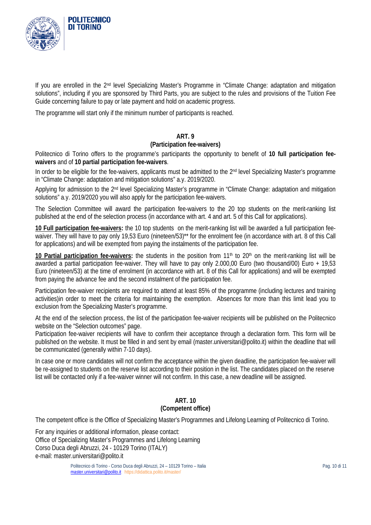

If you are enrolled in the 2nd level Specializing Master's Programme in "Climate Change: adaptation and mitigation solutions", including if you are sponsored by Third Parts, you are subject to the rules and provisions of the Tuition Fee Guide concerning failure to pay or late payment and hold on academic progress.

The programme will start only if the minimum number of participants is reached.

### **ART. 9**

#### **(Participation fee-waivers)**

Politecnico di Torino offers to the programme's participants the opportunity to benefit of **10 full participation feewaivers** and of **10 partial participation fee-waivers**.

In order to be eligible for the fee-waivers, applicants must be admitted to the 2<sup>nd</sup> level Specializing Master's programme in "Climate Change: adaptation and mitigation solutions" a.y. 2019/2020.

Applying for admission to the 2<sup>nd</sup> level Specializing Master's programme in "Climate Change: adaptation and mitigation solutions" a.y. 2019/2020 you will also apply for the participation fee-waivers.

The Selection Committee will award the participation fee-waivers to the 20 top students on the merit-ranking list published at the end of the selection process (in accordance with art. 4 and art. 5 of this Call for applications).

**10 Full participation fee-waivers:** the 10 top students on the merit-ranking list will be awarded a full participation feewaiver. They will have to pay only 19,53 Euro (nineteen/53)\*\* for the enrolment fee (in accordance with art. 8 of this Call for applications) and will be exempted from paying the instalments of the participation fee.

10 Partial participation fee-waivers: the students in the position from 11<sup>th</sup> to 20<sup>th</sup> on the merit-ranking list will be awarded a partial participation fee-waiver. They will have to pay only 2.000,00 Euro (two thousand/00) Euro + 19,53 Euro (nineteen/53) at the time of enrolment (in accordance with art. 8 of this Call for applications) and will be exempted from paying the advance fee and the second instalment of the participation fee.

Participation fee-waiver recipients are required to attend at least 85% of the programme (including lectures and training activities)in order to meet the criteria for maintaining the exemption. Absences for more than this limit lead you to exclusion from the Specializing Master's programme.

At the end of the selection process, the list of the participation fee-waiver recipients will be published on the Politecnico website on the "Selection outcomes" page.

Participation fee-waiver recipients will have to confirm their acceptance through a declaration form. This form will be published on the website. It must be filled in and sent by email (master.universitari@polito.it) within the deadline that will be communicated (generally within 7-10 days).

In case one or more candidates will not confirm the acceptance within the given deadline, the participation fee-waiver will be re-assigned to students on the reserve list according to their position in the list. The candidates placed on the reserve list will be contacted only if a fee-waiver winner will not confirm. In this case, a new deadline will be assigned.

### **ART. 10 (Competent office)**

The competent office is the Office of Specializing Master's Programmes and Lifelong Learning of Politecnico di Torino.

For any inquiries or additional information, please contact: Office of Specializing Master's Programmes and Lifelong Learning Corso Duca degli Abruzzi, 24 - 10129 Torino (ITALY) e-mail: master.universitari@polito.it

> Politecnico di Torino - Corso Duca degli Abruzzi, 24 - 10129 Torino - Italia electronico di Torino - Pag. 10 di 11 [master.universitari@polito.it](mailto:master.universitari@polito.it) https://didattica.polito.it/master/